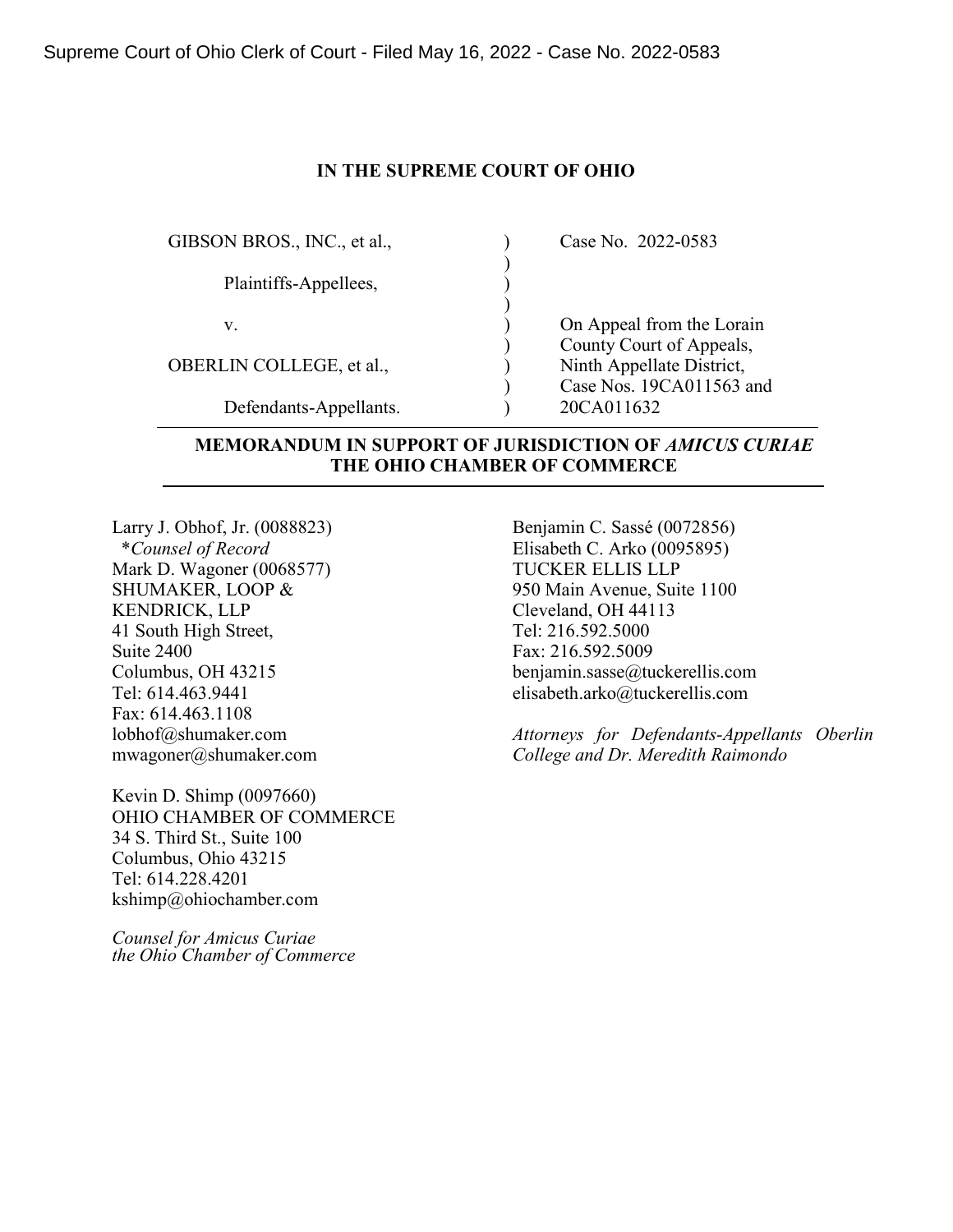## IN THE SUPREME COURT OF OHIO

| GIBSON BROS., INC., et al., | Case No. 2022-0583                                    |
|-----------------------------|-------------------------------------------------------|
| Plaintiffs-Appellees,       |                                                       |
| v.                          | On Appeal from the Lorain<br>County Court of Appeals, |
| OBERLIN COLLEGE, et al.,    | Ninth Appellate District,<br>Case Nos. 19CA011563 and |
| Defendants-Appellants.      | 20CA011632                                            |

## MEMORANDUM IN SUPPORT OF JURISDICTION OF AMICUS CURIAE THE OHIO CHAMBER OF COMMERCE

Larry J. Obhof, Jr. (0088823) \*Counsel of Record Mark D. Wagoner (0068577) SHUMAKER, LOOP & KENDRICK, LLP 41 South High Street, Suite 2400 Columbus, OH 43215 Tel: 614.463.9441 Fax: 614.463.1108 lobhof@shumaker.com mwagoner@shumaker.com

Kevin D. Shimp (0097660) OHIO CHAMBER OF COMMERCE 34 S. Third St., Suite 100 Columbus, Ohio 43215 Tel: 614.228.4201 kshimp@ohiochamber.com

Counsel for Amicus Curiae the Ohio Chamber of Commerce Benjamin C. Sassé (0072856) Elisabeth C. Arko (0095895) TUCKER ELLIS LLP 950 Main Avenue, Suite 1100 Cleveland, OH 44113 Tel: 216.592.5000 Fax: 216.592.5009 benjamin.sasse@tuckerellis.com elisabeth.arko@tuckerellis.com

Attorneys for Defendants-Appellants Oberlin College and Dr. Meredith Raimondo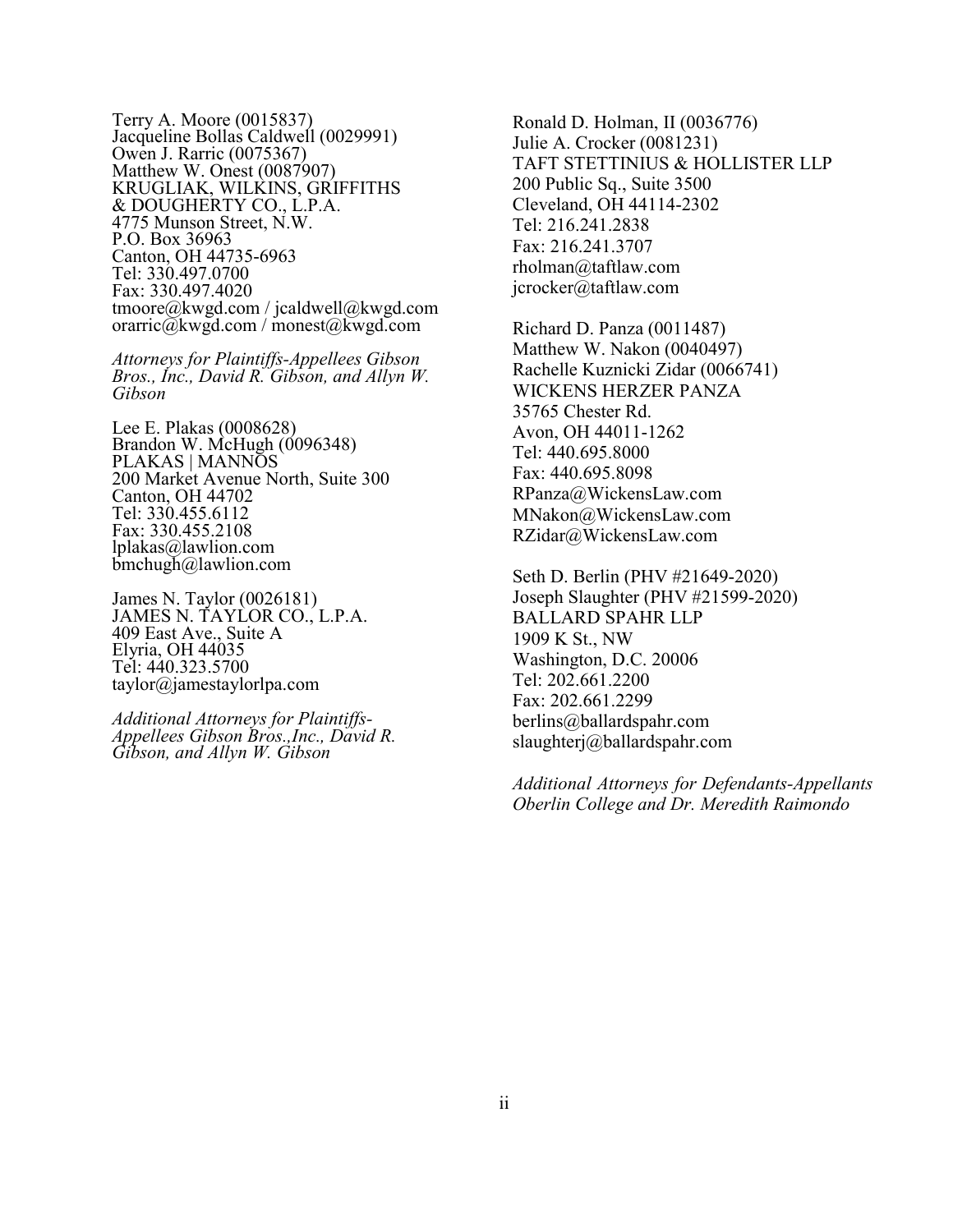Terry A. Moore (0015837) Jacqueline Bollas Caldwell (0029991) Owen J. Rarric (0075367) Matthew W. Onest (0087907) KRUGLIAK, WILKINS, GRIFFITHS & DOUGHERTY CO., L.P.A. 4775 Munson Street, N.W. P.O. Box 36963 Canton, OH 44735-6963 Tel: 330.497.0700 Fax: 330.497.4020 tmoore@kwgd.com / jcaldwell@kwgd.com orarric@kwgd.com / monest@kwgd.com

Attorneys for Plaintiffs-Appellees Gibson Bros., Inc., David R. Gibson, and Allyn W. Gibson

Lee E. Plakas (0008628) Brandon W. McHugh (0096348) PLAKAS | MANNOS 200 Market Avenue North, Suite 300 Canton, OH 44702 Tel: 330.455.6112 Fax: 330.455.2108 lplakas@lawlion.com bmchugh@lawlion.com

James N. Taylor (0026181) JAMES N. TAYLOR CO., L.P.A. 409 East Ave., Suite A Elyria, OH 44035 Tel: 440.323.5700 taylor@jamestaylorlpa.com

Additional Attorneys for Plaintiffs-Appellees Gibson Bros.,Inc., David R. Gibson, and Allyn W. Gibson

Ronald D. Holman, II (0036776) Julie A. Crocker (0081231) TAFT STETTINIUS & HOLLISTER LLP 200 Public Sq., Suite 3500 Cleveland, OH 44114-2302 Tel: 216.241.2838 Fax: 216.241.3707 rholman@taftlaw.com jcrocker@taftlaw.com

Richard D. Panza (0011487) Matthew W. Nakon (0040497) Rachelle Kuznicki Zidar (0066741) WICKENS HERZER PANZA 35765 Chester Rd. Avon, OH 44011-1262 Tel: 440.695.8000 Fax: 440.695.8098 RPanza@WickensLaw.com MNakon@WickensLaw.com RZidar@WickensLaw.com

Seth D. Berlin (PHV #21649-2020) Joseph Slaughter (PHV #21599-2020) BALLARD SPAHR LLP 1909 K St., NW Washington, D.C. 20006 Tel: 202.661.2200 Fax: 202.661.2299 berlins@ballardspahr.com slaughterj@ballardspahr.com

Additional Attorneys for Defendants-Appellants Oberlin College and Dr. Meredith Raimondo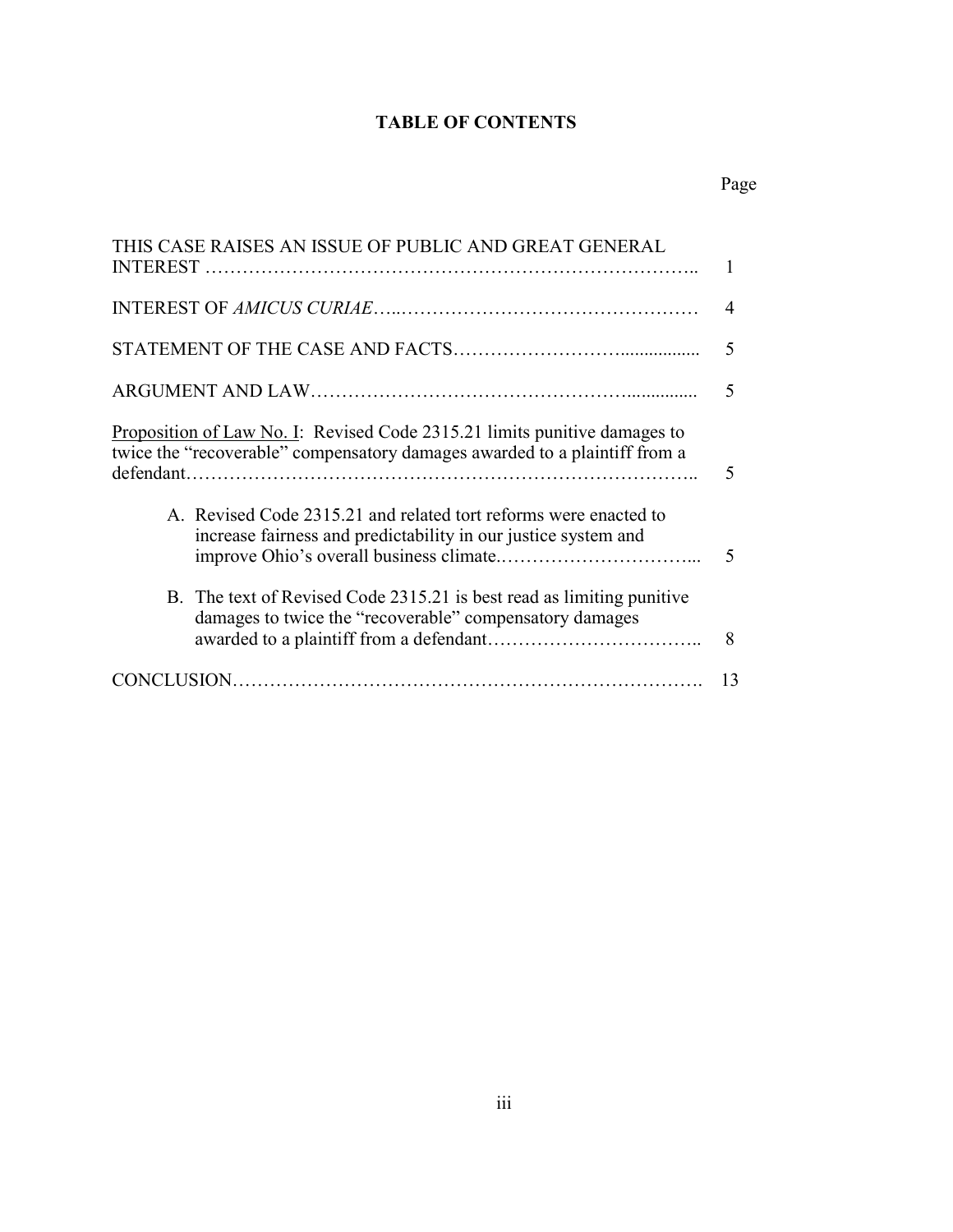# TABLE OF CONTENTS

# Page

|                                                                                                                                                         | $\boldsymbol{\Lambda}$<br>5<br>5 |
|---------------------------------------------------------------------------------------------------------------------------------------------------------|----------------------------------|
|                                                                                                                                                         |                                  |
|                                                                                                                                                         |                                  |
|                                                                                                                                                         |                                  |
| Proposition of Law No. I: Revised Code 2315.21 limits punitive damages to<br>twice the "recoverable" compensatory damages awarded to a plaintiff from a | $\overline{\mathcal{L}}$         |
| A. Revised Code 2315.21 and related tort reforms were enacted to<br>increase fairness and predictability in our justice system and                      | $\overline{\mathcal{L}}$         |
| B. The text of Revised Code 2315.21 is best read as limiting punitive<br>damages to twice the "recoverable" compensatory damages                        | 8                                |
|                                                                                                                                                         | 13                               |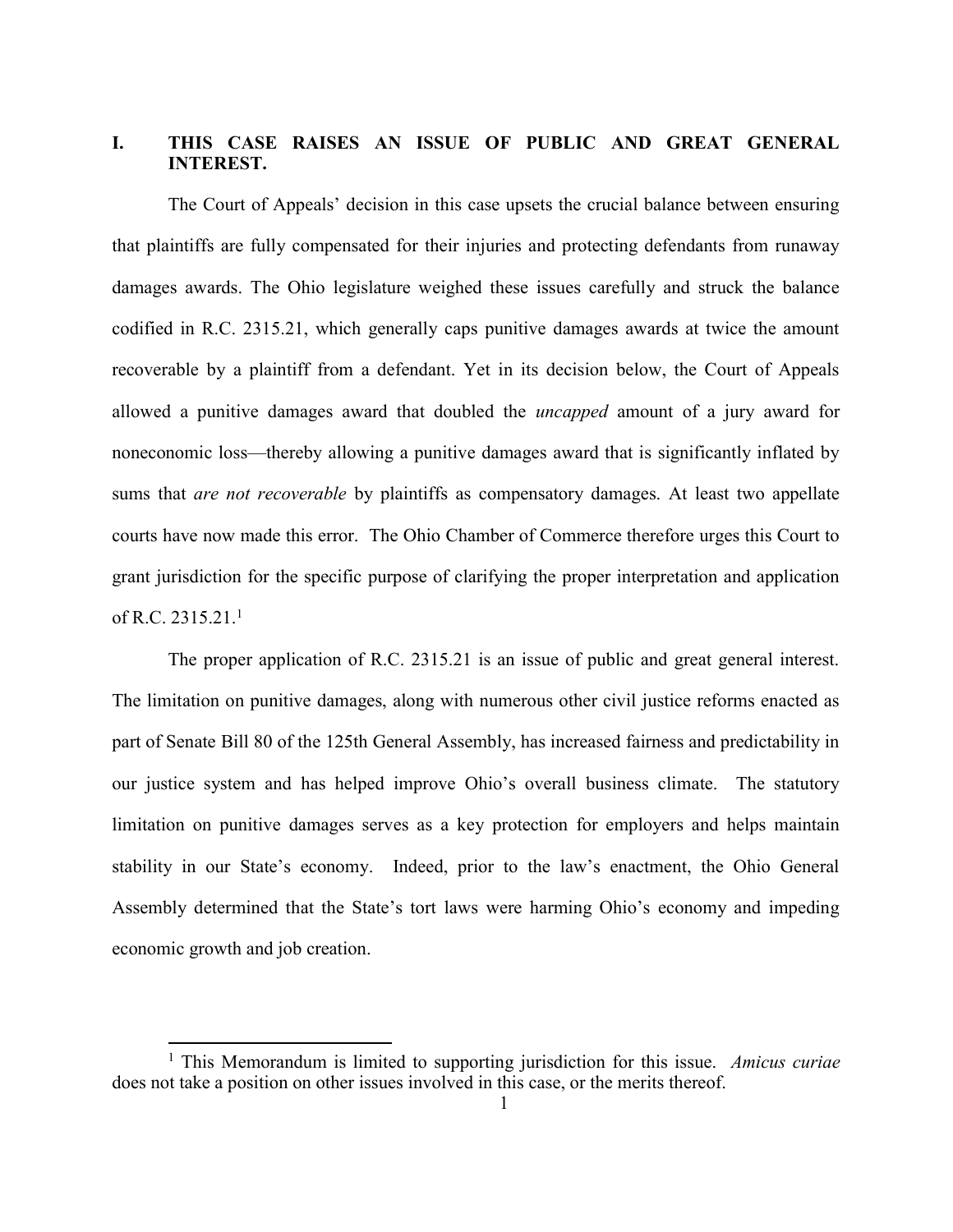#### I. THIS CASE RAISES AN ISSUE OF PUBLIC AND GREAT GENERAL INTEREST.

The Court of Appeals' decision in this case upsets the crucial balance between ensuring that plaintiffs are fully compensated for their injuries and protecting defendants from runaway damages awards. The Ohio legislature weighed these issues carefully and struck the balance codified in R.C. 2315.21, which generally caps punitive damages awards at twice the amount recoverable by a plaintiff from a defendant. Yet in its decision below, the Court of Appeals allowed a punitive damages award that doubled the uncapped amount of a jury award for noneconomic loss—thereby allowing a punitive damages award that is significantly inflated by sums that *are not recoverable* by plaintiffs as compensatory damages. At least two appellate courts have now made this error. The Ohio Chamber of Commerce therefore urges this Court to grant jurisdiction for the specific purpose of clarifying the proper interpretation and application of R.C. 2315.21.<sup>1</sup>

The proper application of R.C. 2315.21 is an issue of public and great general interest. The limitation on punitive damages, along with numerous other civil justice reforms enacted as part of Senate Bill 80 of the 125th General Assembly, has increased fairness and predictability in our justice system and has helped improve Ohio's overall business climate. The statutory limitation on punitive damages serves as a key protection for employers and helps maintain stability in our State's economy. Indeed, prior to the law's enactment, the Ohio General Assembly determined that the State's tort laws were harming Ohio's economy and impeding economic growth and job creation.

 $\overline{a}$ 

<sup>&</sup>lt;sup>1</sup> This Memorandum is limited to supporting jurisdiction for this issue. Amicus curiae does not take a position on other issues involved in this case, or the merits thereof.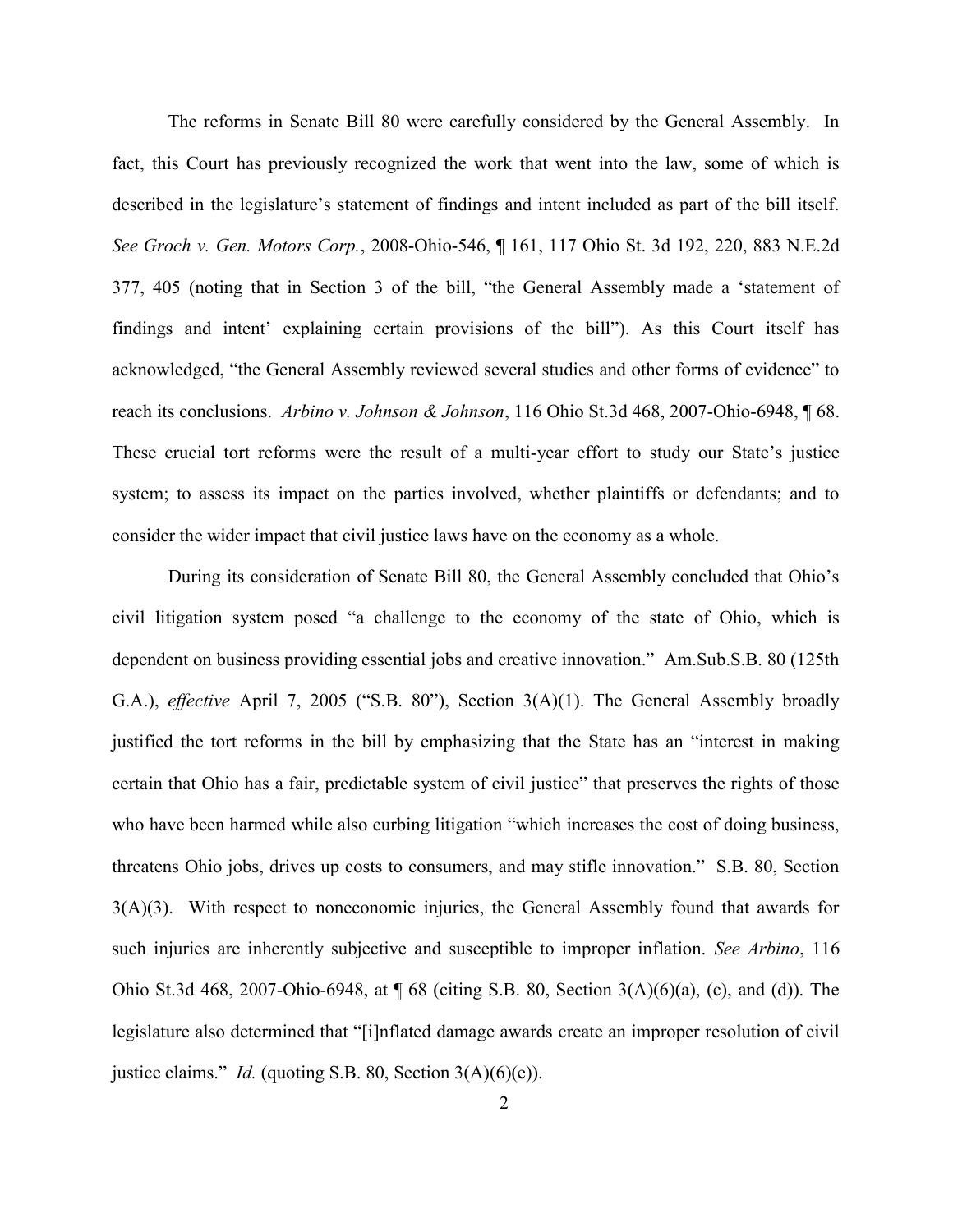The reforms in Senate Bill 80 were carefully considered by the General Assembly. In fact, this Court has previously recognized the work that went into the law, some of which is described in the legislature's statement of findings and intent included as part of the bill itself. See Groch v. Gen. Motors Corp., 2008-Ohio-546, ¶ 161, 117 Ohio St. 3d 192, 220, 883 N.E.2d 377, 405 (noting that in Section 3 of the bill, "the General Assembly made a 'statement of findings and intent' explaining certain provisions of the bill"). As this Court itself has acknowledged, "the General Assembly reviewed several studies and other forms of evidence" to reach its conclusions. Arbino v. Johnson & Johnson, 116 Ohio St.3d 468, 2007-Ohio-6948, ¶ 68. These crucial tort reforms were the result of a multi-year effort to study our State's justice system; to assess its impact on the parties involved, whether plaintiffs or defendants; and to consider the wider impact that civil justice laws have on the economy as a whole.

During its consideration of Senate Bill 80, the General Assembly concluded that Ohio's civil litigation system posed "a challenge to the economy of the state of Ohio, which is dependent on business providing essential jobs and creative innovation." Am.Sub.S.B. 80 (125th G.A.), effective April 7, 2005 ("S.B. 80"), Section 3(A)(1). The General Assembly broadly justified the tort reforms in the bill by emphasizing that the State has an "interest in making certain that Ohio has a fair, predictable system of civil justice" that preserves the rights of those who have been harmed while also curbing litigation "which increases the cost of doing business, threatens Ohio jobs, drives up costs to consumers, and may stifle innovation." S.B. 80, Section 3(A)(3). With respect to noneconomic injuries, the General Assembly found that awards for such injuries are inherently subjective and susceptible to improper inflation. See Arbino, 116 Ohio St.3d 468, 2007-Ohio-6948, at ¶ 68 (citing S.B. 80, Section 3(A)(6)(a), (c), and (d)). The legislature also determined that "[i]nflated damage awards create an improper resolution of civil justice claims." *Id.* (quoting S.B. 80, Section  $3(A)(6)(e)$ ).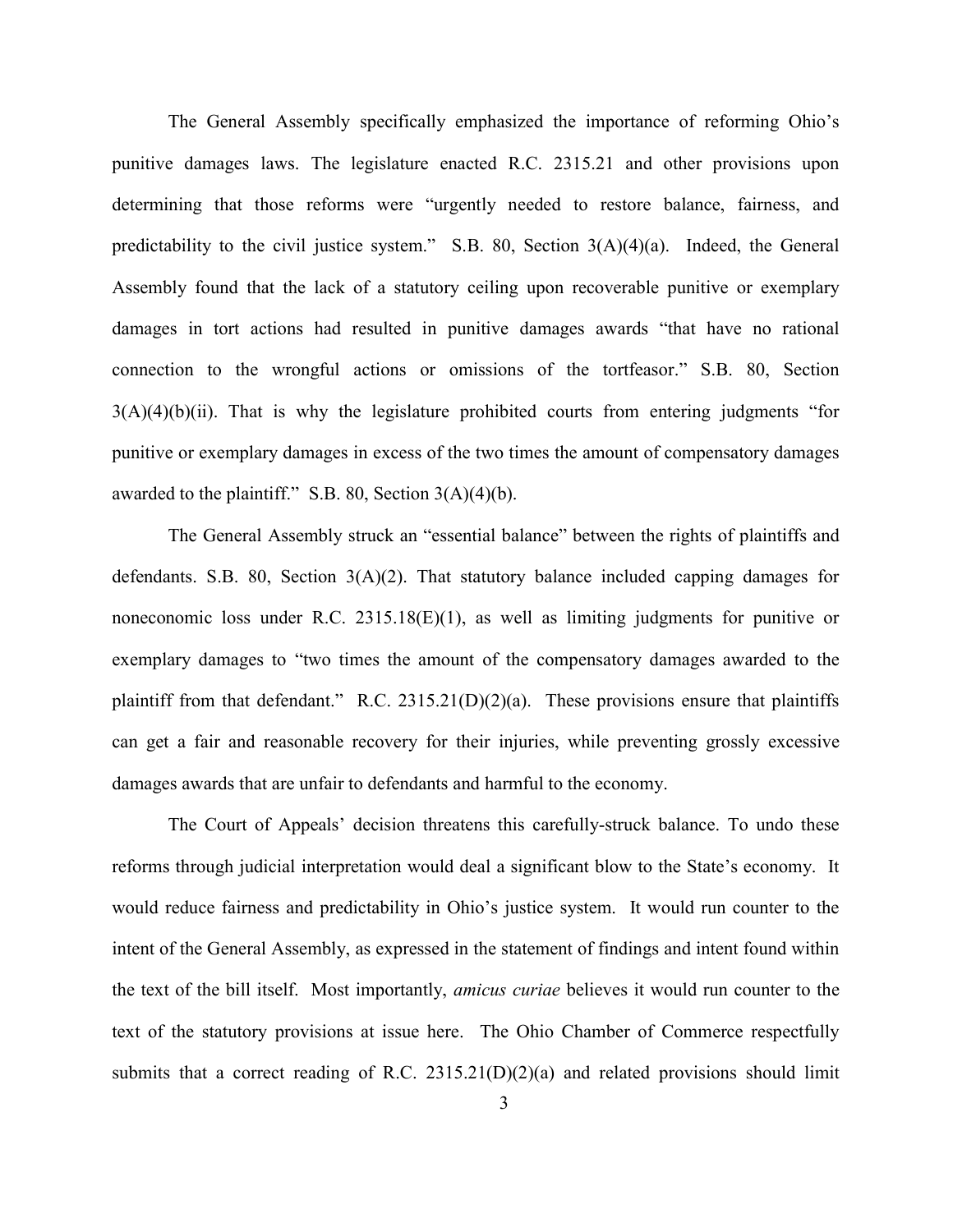The General Assembly specifically emphasized the importance of reforming Ohio's punitive damages laws. The legislature enacted R.C. 2315.21 and other provisions upon determining that those reforms were "urgently needed to restore balance, fairness, and predictability to the civil justice system." S.B. 80, Section  $3(A)(4)(a)$ . Indeed, the General Assembly found that the lack of a statutory ceiling upon recoverable punitive or exemplary damages in tort actions had resulted in punitive damages awards "that have no rational connection to the wrongful actions or omissions of the tortfeasor." S.B. 80, Section  $3(A)(4)(b)(ii)$ . That is why the legislature prohibited courts from entering judgments "for punitive or exemplary damages in excess of the two times the amount of compensatory damages awarded to the plaintiff." S.B. 80, Section  $3(A)(4)(b)$ .

The General Assembly struck an "essential balance" between the rights of plaintiffs and defendants. S.B. 80, Section 3(A)(2). That statutory balance included capping damages for noneconomic loss under R.C. 2315.18(E)(1), as well as limiting judgments for punitive or exemplary damages to "two times the amount of the compensatory damages awarded to the plaintiff from that defendant." R.C. 2315.21(D)(2)(a). These provisions ensure that plaintiffs can get a fair and reasonable recovery for their injuries, while preventing grossly excessive damages awards that are unfair to defendants and harmful to the economy.

The Court of Appeals' decision threatens this carefully-struck balance. To undo these reforms through judicial interpretation would deal a significant blow to the State's economy. It would reduce fairness and predictability in Ohio's justice system. It would run counter to the intent of the General Assembly, as expressed in the statement of findings and intent found within the text of the bill itself. Most importantly, amicus curiae believes it would run counter to the text of the statutory provisions at issue here. The Ohio Chamber of Commerce respectfully submits that a correct reading of R.C. 2315.21(D)(2)(a) and related provisions should limit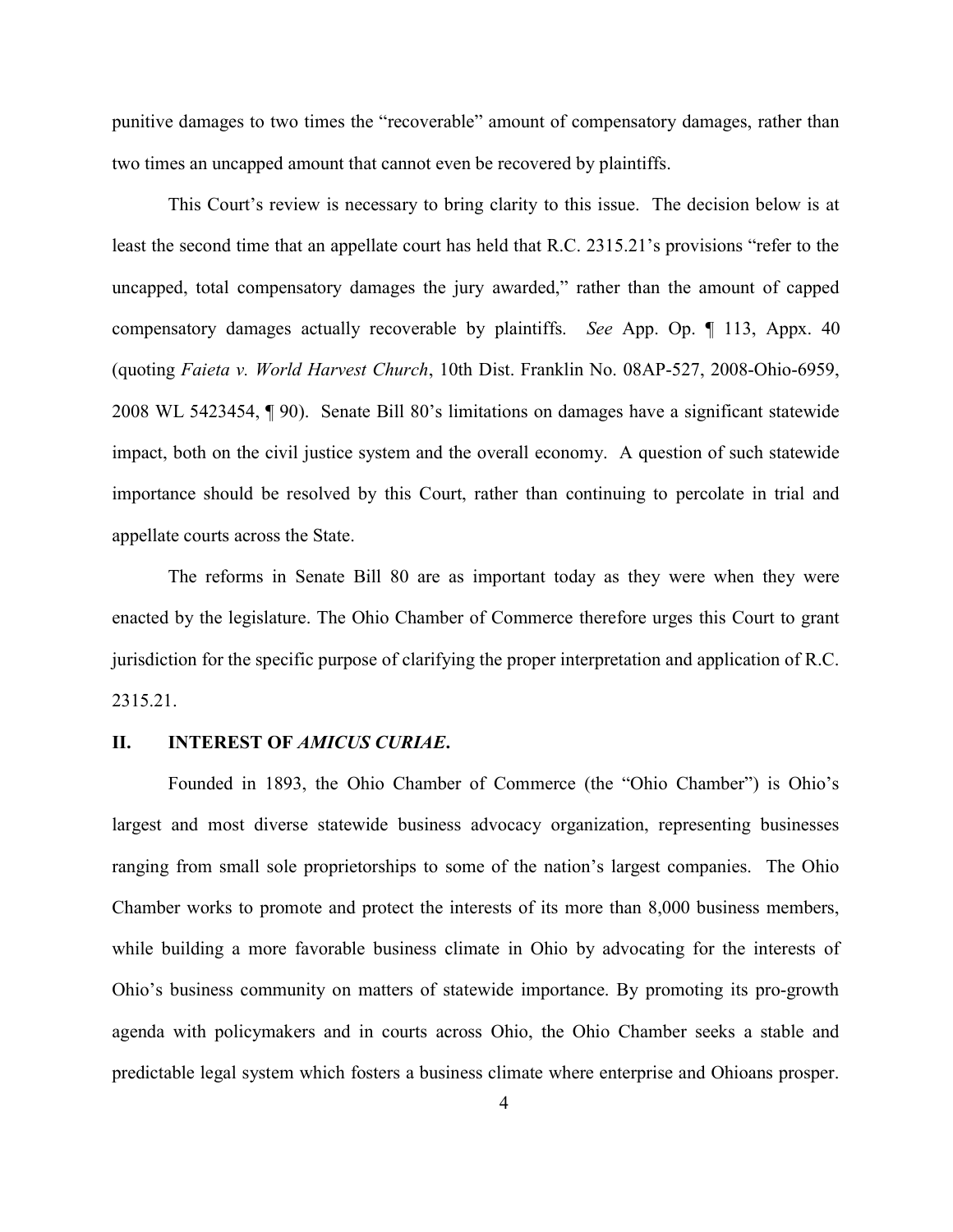punitive damages to two times the "recoverable" amount of compensatory damages, rather than two times an uncapped amount that cannot even be recovered by plaintiffs.

This Court's review is necessary to bring clarity to this issue. The decision below is at least the second time that an appellate court has held that R.C. 2315.21's provisions "refer to the uncapped, total compensatory damages the jury awarded," rather than the amount of capped compensatory damages actually recoverable by plaintiffs. See App. Op. ¶ 113, Appx. 40 (quoting Faieta v. World Harvest Church, 10th Dist. Franklin No. 08AP-527, 2008-Ohio-6959, 2008 WL 5423454, ¶ 90). Senate Bill 80's limitations on damages have a significant statewide impact, both on the civil justice system and the overall economy. A question of such statewide importance should be resolved by this Court, rather than continuing to percolate in trial and appellate courts across the State.

The reforms in Senate Bill 80 are as important today as they were when they were enacted by the legislature. The Ohio Chamber of Commerce therefore urges this Court to grant jurisdiction for the specific purpose of clarifying the proper interpretation and application of R.C. 2315.21.

#### II. INTEREST OF AMICUS CURIAE.

Founded in 1893, the Ohio Chamber of Commerce (the "Ohio Chamber") is Ohio's largest and most diverse statewide business advocacy organization, representing businesses ranging from small sole proprietorships to some of the nation's largest companies. The Ohio Chamber works to promote and protect the interests of its more than 8,000 business members, while building a more favorable business climate in Ohio by advocating for the interests of Ohio's business community on matters of statewide importance. By promoting its pro-growth agenda with policymakers and in courts across Ohio, the Ohio Chamber seeks a stable and predictable legal system which fosters a business climate where enterprise and Ohioans prosper.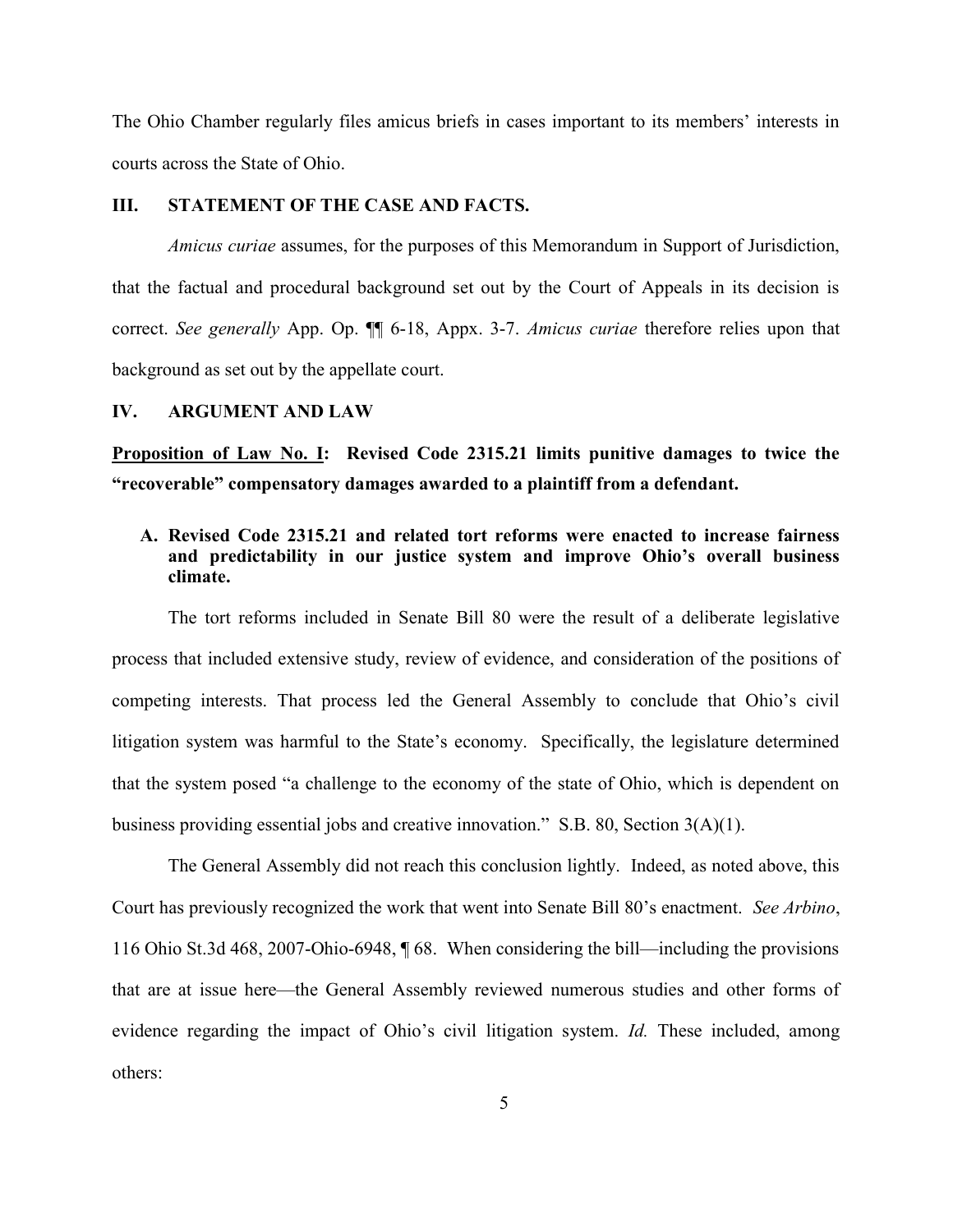The Ohio Chamber regularly files amicus briefs in cases important to its members' interests in courts across the State of Ohio.

#### III. STATEMENT OF THE CASE AND FACTS.

Amicus curiae assumes, for the purposes of this Memorandum in Support of Jurisdiction, that the factual and procedural background set out by the Court of Appeals in its decision is correct. See generally App. Op. ¶¶ 6-18, Appx. 3-7. Amicus curiae therefore relies upon that background as set out by the appellate court.

#### IV. ARGUMENT AND LAW

Proposition of Law No. I: Revised Code 2315.21 limits punitive damages to twice the "recoverable" compensatory damages awarded to a plaintiff from a defendant.

# A. Revised Code 2315.21 and related tort reforms were enacted to increase fairness and predictability in our justice system and improve Ohio's overall business climate.

The tort reforms included in Senate Bill 80 were the result of a deliberate legislative process that included extensive study, review of evidence, and consideration of the positions of competing interests. That process led the General Assembly to conclude that Ohio's civil litigation system was harmful to the State's economy. Specifically, the legislature determined that the system posed "a challenge to the economy of the state of Ohio, which is dependent on business providing essential jobs and creative innovation." S.B. 80, Section 3(A)(1).

The General Assembly did not reach this conclusion lightly. Indeed, as noted above, this Court has previously recognized the work that went into Senate Bill 80's enactment. See Arbino, 116 Ohio St.3d 468, 2007-Ohio-6948, ¶ 68. When considering the bill—including the provisions that are at issue here—the General Assembly reviewed numerous studies and other forms of evidence regarding the impact of Ohio's civil litigation system. Id. These included, among others: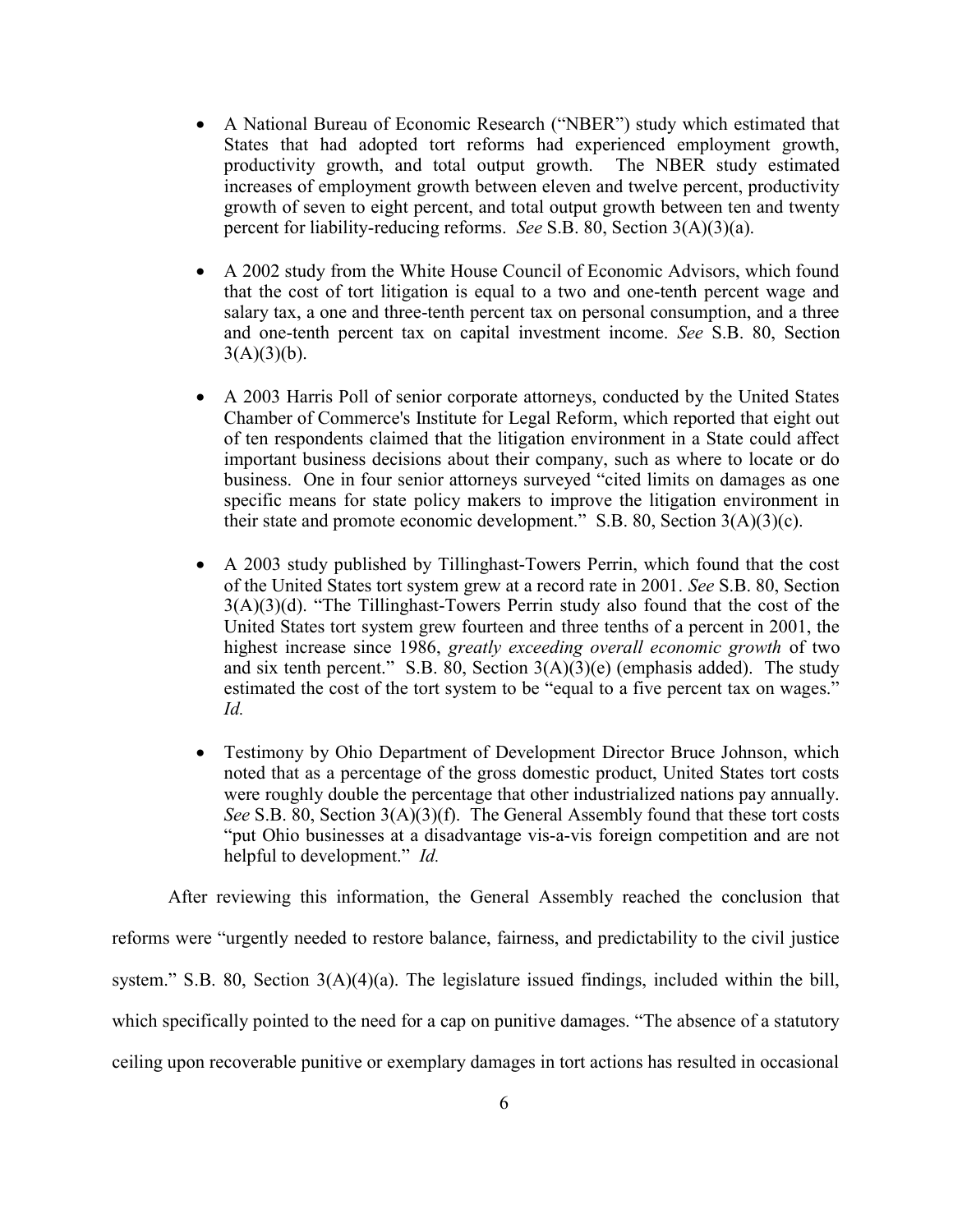- A National Bureau of Economic Research ("NBER") study which estimated that States that had adopted tort reforms had experienced employment growth, productivity growth, and total output growth. The NBER study estimated increases of employment growth between eleven and twelve percent, productivity growth of seven to eight percent, and total output growth between ten and twenty percent for liability-reducing reforms. See S.B. 80, Section 3(A)(3)(a).
- A 2002 study from the White House Council of Economic Advisors, which found that the cost of tort litigation is equal to a two and one-tenth percent wage and salary tax, a one and three-tenth percent tax on personal consumption, and a three and one-tenth percent tax on capital investment income. See S.B. 80, Section  $3(A)(3)(b)$ .
- A 2003 Harris Poll of senior corporate attorneys, conducted by the United States Chamber of Commerce's Institute for Legal Reform, which reported that eight out of ten respondents claimed that the litigation environment in a State could affect important business decisions about their company, such as where to locate or do business. One in four senior attorneys surveyed "cited limits on damages as one specific means for state policy makers to improve the litigation environment in their state and promote economic development." S.B. 80, Section  $3(A)(3)(c)$ .
- A 2003 study published by Tillinghast-Towers Perrin, which found that the cost of the United States tort system grew at a record rate in 2001. See S.B. 80, Section 3(A)(3)(d). "The Tillinghast-Towers Perrin study also found that the cost of the United States tort system grew fourteen and three tenths of a percent in 2001, the highest increase since 1986, greatly exceeding overall economic growth of two and six tenth percent." S.B. 80, Section  $3(A)(3)(e)$  (emphasis added). The study estimated the cost of the tort system to be "equal to a five percent tax on wages." Id.
- Testimony by Ohio Department of Development Director Bruce Johnson, which noted that as a percentage of the gross domestic product, United States tort costs were roughly double the percentage that other industrialized nations pay annually. See S.B. 80, Section  $3(A)(3)(f)$ . The General Assembly found that these tort costs "put Ohio businesses at a disadvantage vis-a-vis foreign competition and are not helpful to development." *Id.*

After reviewing this information, the General Assembly reached the conclusion that reforms were "urgently needed to restore balance, fairness, and predictability to the civil justice system." S.B. 80, Section 3(A)(4)(a). The legislature issued findings, included within the bill, which specifically pointed to the need for a cap on punitive damages. "The absence of a statutory ceiling upon recoverable punitive or exemplary damages in tort actions has resulted in occasional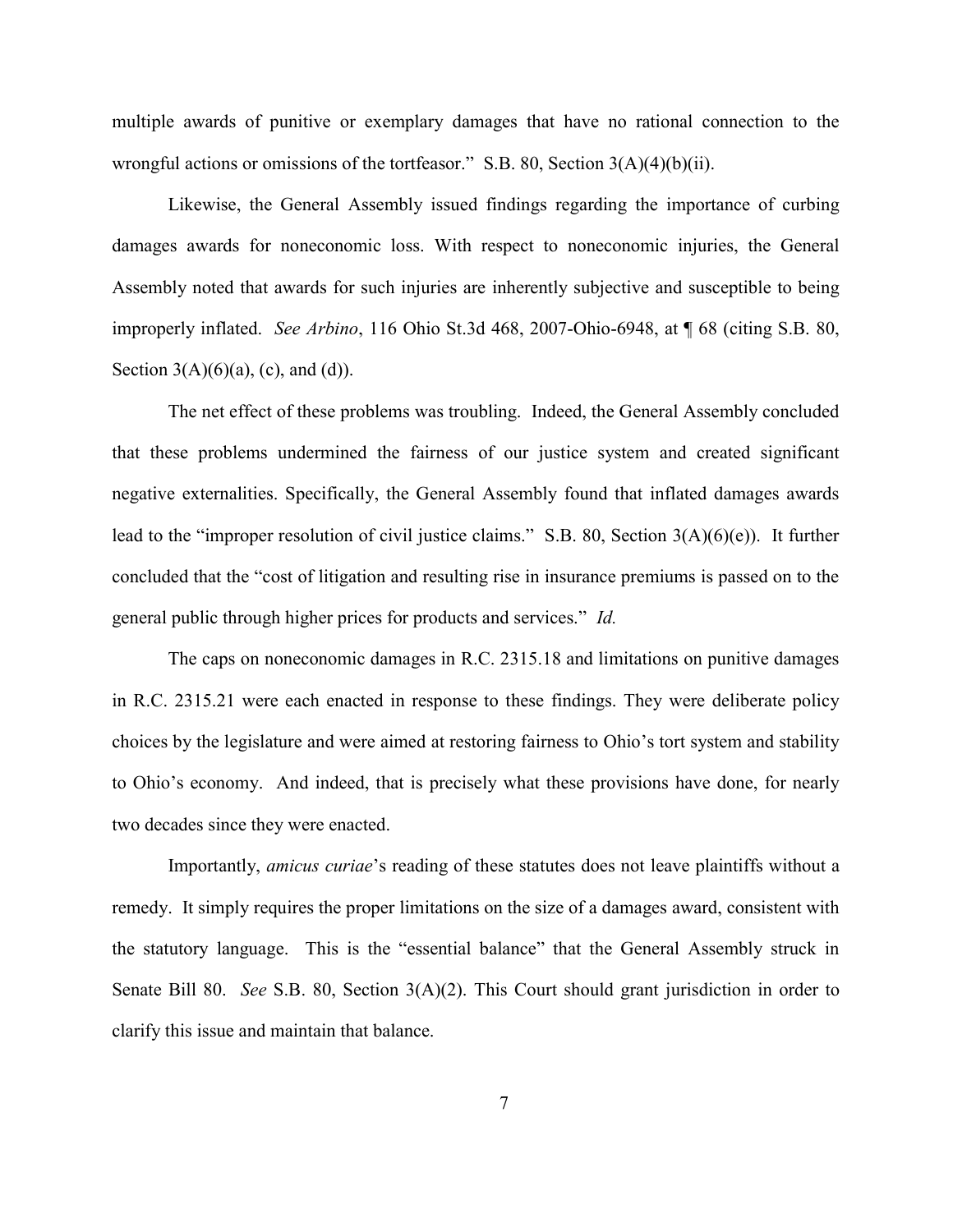multiple awards of punitive or exemplary damages that have no rational connection to the wrongful actions or omissions of the tortfeasor." S.B. 80, Section  $3(A)(4)(b)(ii)$ .

Likewise, the General Assembly issued findings regarding the importance of curbing damages awards for noneconomic loss. With respect to noneconomic injuries, the General Assembly noted that awards for such injuries are inherently subjective and susceptible to being improperly inflated. See Arbino, 116 Ohio St.3d 468, 2007-Ohio-6948, at ¶ 68 (citing S.B. 80, Section  $3(A)(6)(a)$ , (c), and (d)).

The net effect of these problems was troubling. Indeed, the General Assembly concluded that these problems undermined the fairness of our justice system and created significant negative externalities. Specifically, the General Assembly found that inflated damages awards lead to the "improper resolution of civil justice claims." S.B. 80, Section 3(A)(6)(e)). It further concluded that the "cost of litigation and resulting rise in insurance premiums is passed on to the general public through higher prices for products and services." Id.

The caps on noneconomic damages in R.C. 2315.18 and limitations on punitive damages in R.C. 2315.21 were each enacted in response to these findings. They were deliberate policy choices by the legislature and were aimed at restoring fairness to Ohio's tort system and stability to Ohio's economy. And indeed, that is precisely what these provisions have done, for nearly two decades since they were enacted.

Importantly, amicus curiae's reading of these statutes does not leave plaintiffs without a remedy. It simply requires the proper limitations on the size of a damages award, consistent with the statutory language. This is the "essential balance" that the General Assembly struck in Senate Bill 80. See S.B. 80, Section 3(A)(2). This Court should grant jurisdiction in order to clarify this issue and maintain that balance.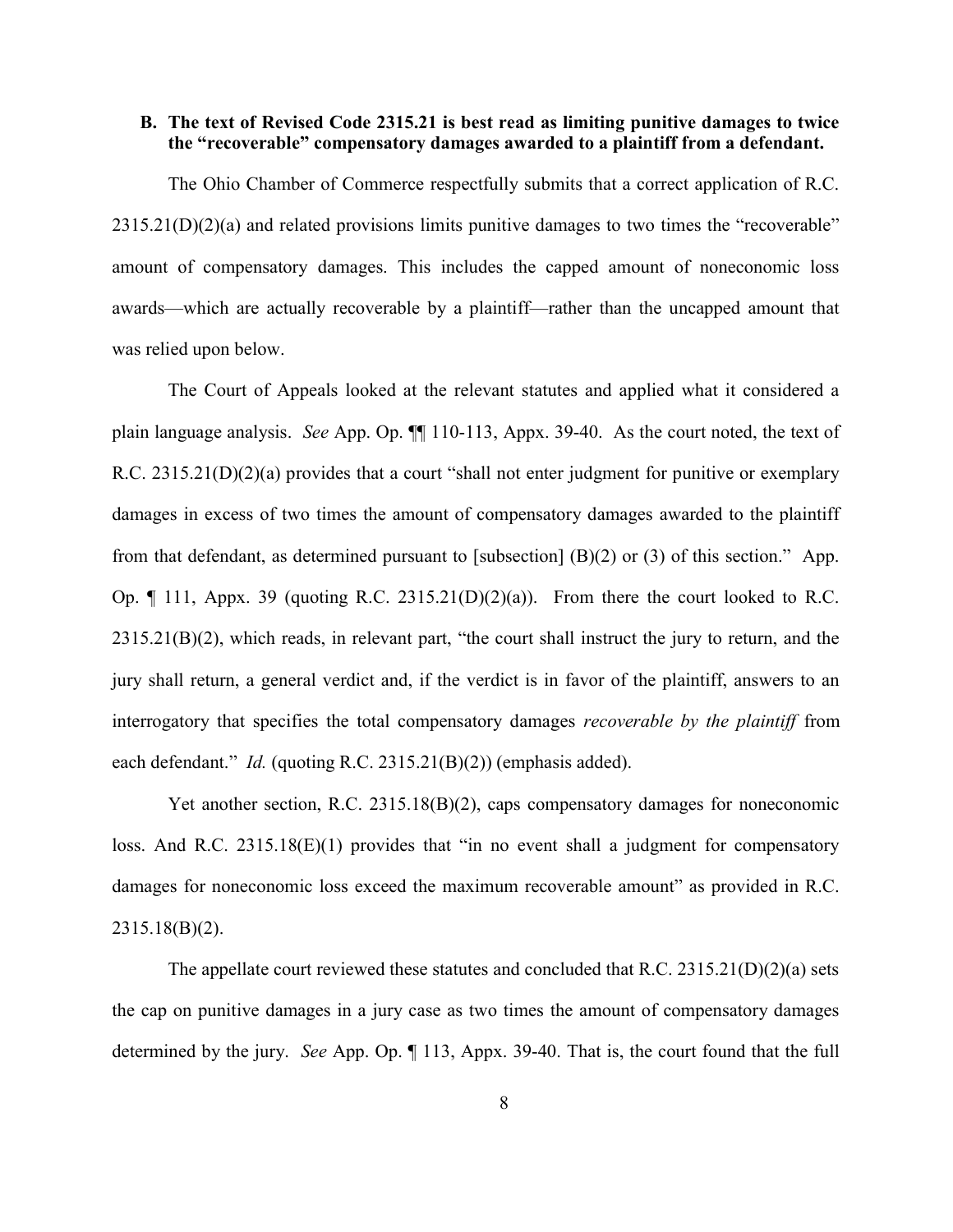#### B. The text of Revised Code 2315.21 is best read as limiting punitive damages to twice the "recoverable" compensatory damages awarded to a plaintiff from a defendant.

The Ohio Chamber of Commerce respectfully submits that a correct application of R.C.  $2315.21(D)(2)(a)$  and related provisions limits punitive damages to two times the "recoverable" amount of compensatory damages. This includes the capped amount of noneconomic loss awards—which are actually recoverable by a plaintiff—rather than the uncapped amount that was relied upon below.

The Court of Appeals looked at the relevant statutes and applied what it considered a plain language analysis. See App. Op. ¶¶ 110-113, Appx. 39-40. As the court noted, the text of R.C. 2315.21(D)(2)(a) provides that a court "shall not enter judgment for punitive or exemplary damages in excess of two times the amount of compensatory damages awarded to the plaintiff from that defendant, as determined pursuant to [subsection] (B)(2) or (3) of this section." App. Op.  $\P$  111, Appx. 39 (quoting R.C. 2315.21(D)(2)(a)). From there the court looked to R.C.  $2315.21(B)(2)$ , which reads, in relevant part, "the court shall instruct the jury to return, and the jury shall return, a general verdict and, if the verdict is in favor of the plaintiff, answers to an interrogatory that specifies the total compensatory damages *recoverable by the plaintiff* from each defendant." Id. (quoting R.C. 2315.21(B)(2)) (emphasis added).

Yet another section, R.C. 2315.18(B)(2), caps compensatory damages for noneconomic loss. And R.C. 2315.18(E)(1) provides that "in no event shall a judgment for compensatory damages for noneconomic loss exceed the maximum recoverable amount" as provided in R.C. 2315.18(B)(2).

The appellate court reviewed these statutes and concluded that R.C.  $2315.21(D)(2)(a)$  sets the cap on punitive damages in a jury case as two times the amount of compensatory damages determined by the jury. See App. Op. ¶ 113, Appx. 39-40. That is, the court found that the full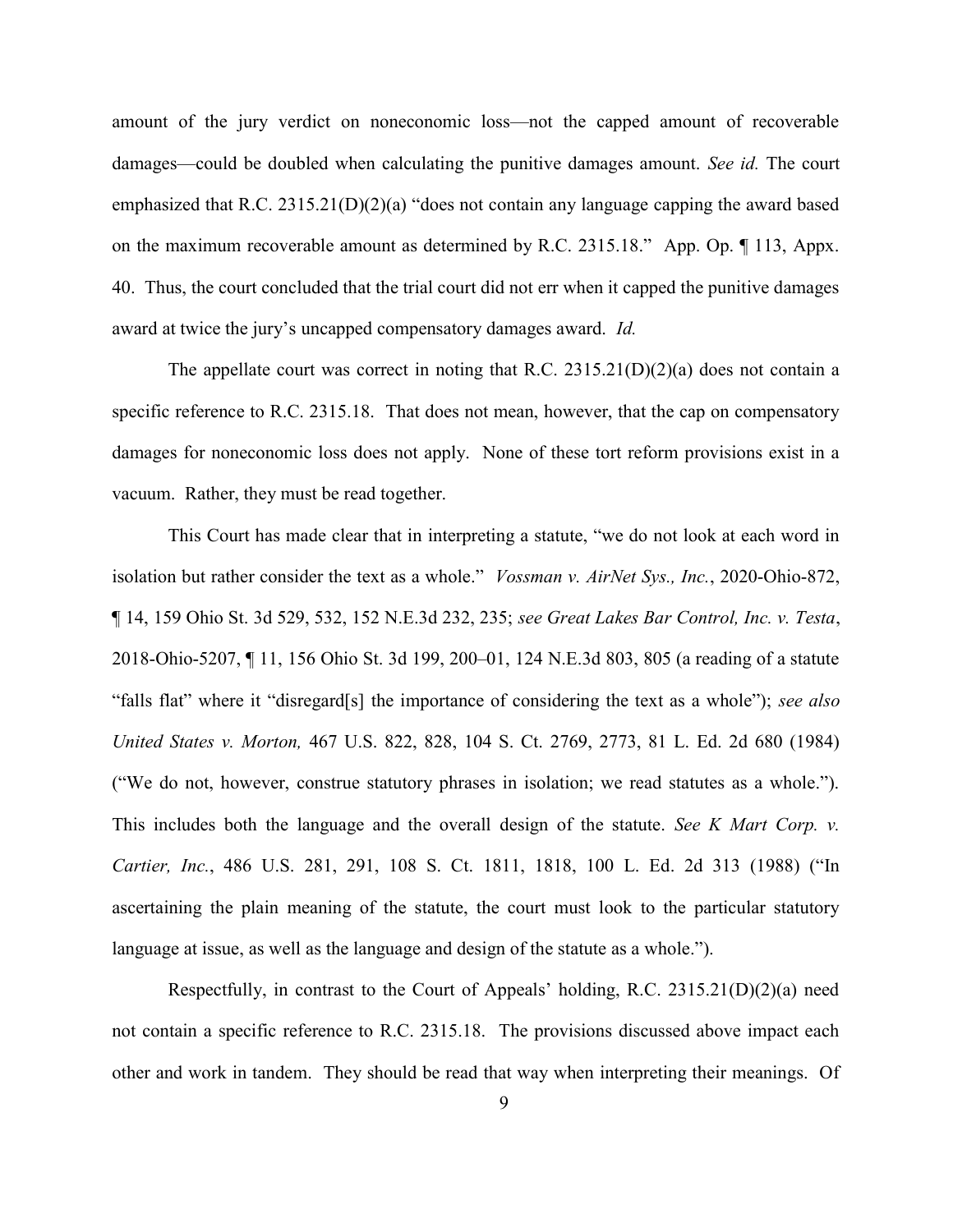amount of the jury verdict on noneconomic loss—not the capped amount of recoverable damages—could be doubled when calculating the punitive damages amount. See id. The court emphasized that R.C. 2315.21(D)(2)(a) "does not contain any language capping the award based on the maximum recoverable amount as determined by R.C. 2315.18." App. Op. ¶ 113, Appx. 40. Thus, the court concluded that the trial court did not err when it capped the punitive damages award at twice the jury's uncapped compensatory damages award. Id.

The appellate court was correct in noting that R.C.  $2315.21(D)(2)(a)$  does not contain a specific reference to R.C. 2315.18. That does not mean, however, that the cap on compensatory damages for noneconomic loss does not apply. None of these tort reform provisions exist in a vacuum. Rather, they must be read together.

This Court has made clear that in interpreting a statute, "we do not look at each word in isolation but rather consider the text as a whole." Vossman v. AirNet Sys., Inc., 2020-Ohio-872, ¶ 14, 159 Ohio St. 3d 529, 532, 152 N.E.3d 232, 235; see Great Lakes Bar Control, Inc. v. Testa, 2018-Ohio-5207, ¶ 11, 156 Ohio St. 3d 199, 200–01, 124 N.E.3d 803, 805 (a reading of a statute "falls flat" where it "disregard[s] the importance of considering the text as a whole"); see also United States v. Morton, 467 U.S. 822, 828, 104 S. Ct. 2769, 2773, 81 L. Ed. 2d 680 (1984) ("We do not, however, construe statutory phrases in isolation; we read statutes as a whole."). This includes both the language and the overall design of the statute. See K Mart Corp.  $\nu$ . Cartier, Inc., 486 U.S. 281, 291, 108 S. Ct. 1811, 1818, 100 L. Ed. 2d 313 (1988) ("In ascertaining the plain meaning of the statute, the court must look to the particular statutory language at issue, as well as the language and design of the statute as a whole.").

Respectfully, in contrast to the Court of Appeals' holding, R.C. 2315.21(D)(2)(a) need not contain a specific reference to R.C. 2315.18. The provisions discussed above impact each other and work in tandem. They should be read that way when interpreting their meanings. Of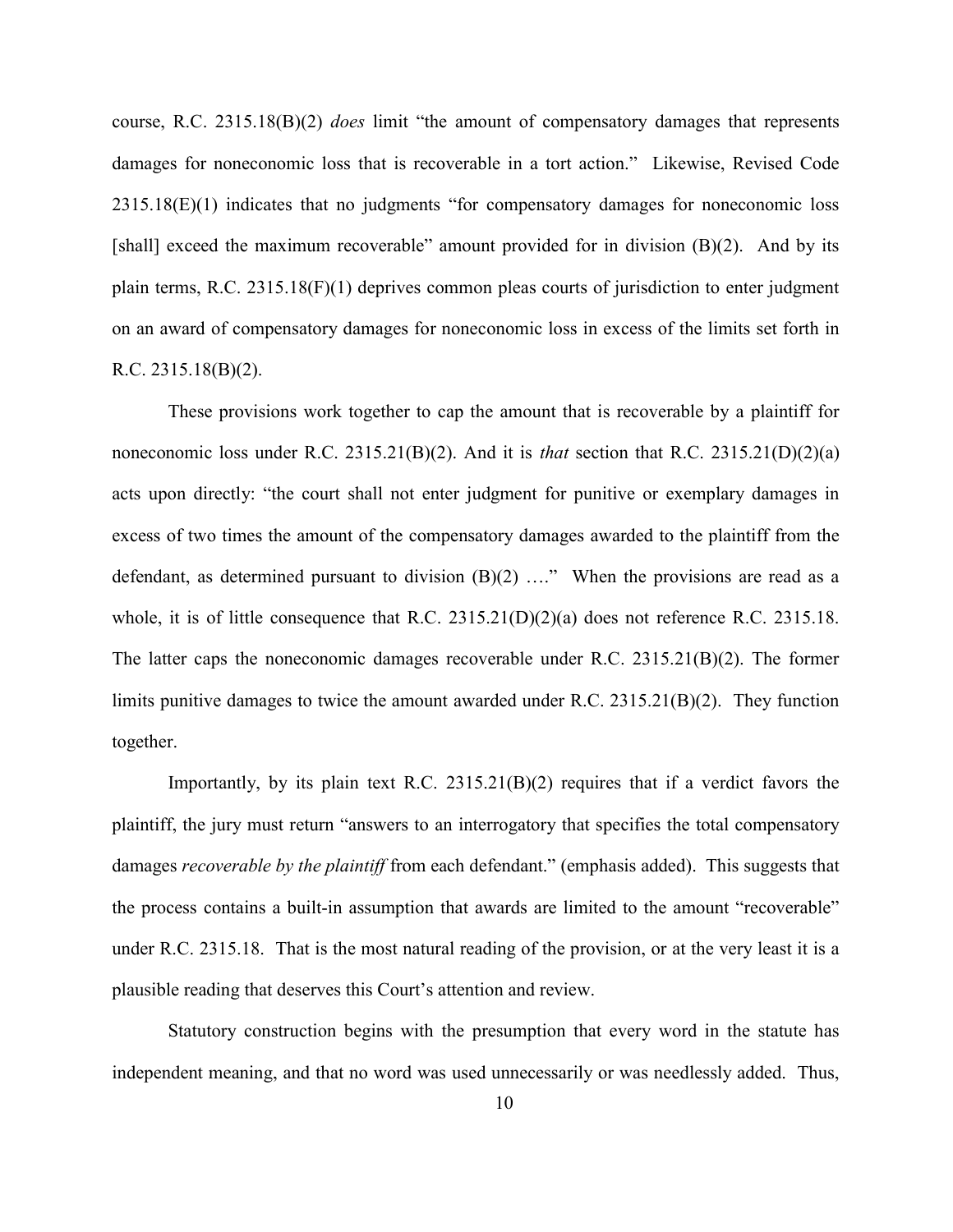course, R.C.  $2315.18(B)(2)$  does limit "the amount of compensatory damages that represents damages for noneconomic loss that is recoverable in a tort action." Likewise, Revised Code 2315.18(E)(1) indicates that no judgments "for compensatory damages for noneconomic loss [shall] exceed the maximum recoverable" amount provided for in division (B)(2). And by its plain terms, R.C. 2315.18(F)(1) deprives common pleas courts of jurisdiction to enter judgment on an award of compensatory damages for noneconomic loss in excess of the limits set forth in R.C. 2315.18(B)(2).

These provisions work together to cap the amount that is recoverable by a plaintiff for noneconomic loss under R.C. 2315.21(B)(2). And it is *that* section that R.C. 2315.21(D)(2)(a) acts upon directly: "the court shall not enter judgment for punitive or exemplary damages in excess of two times the amount of the compensatory damages awarded to the plaintiff from the defendant, as determined pursuant to division  $(B)(2)$  ...." When the provisions are read as a whole, it is of little consequence that R.C.  $2315.21(D)(2)(a)$  does not reference R.C.  $2315.18$ . The latter caps the noneconomic damages recoverable under R.C. 2315.21(B)(2). The former limits punitive damages to twice the amount awarded under R.C. 2315.21(B)(2). They function together.

Importantly, by its plain text R.C. 2315.21(B)(2) requires that if a verdict favors the plaintiff, the jury must return "answers to an interrogatory that specifies the total compensatory damages *recoverable by the plaintiff* from each defendant." (emphasis added). This suggests that the process contains a built-in assumption that awards are limited to the amount "recoverable" under R.C. 2315.18. That is the most natural reading of the provision, or at the very least it is a plausible reading that deserves this Court's attention and review.

Statutory construction begins with the presumption that every word in the statute has independent meaning, and that no word was used unnecessarily or was needlessly added. Thus,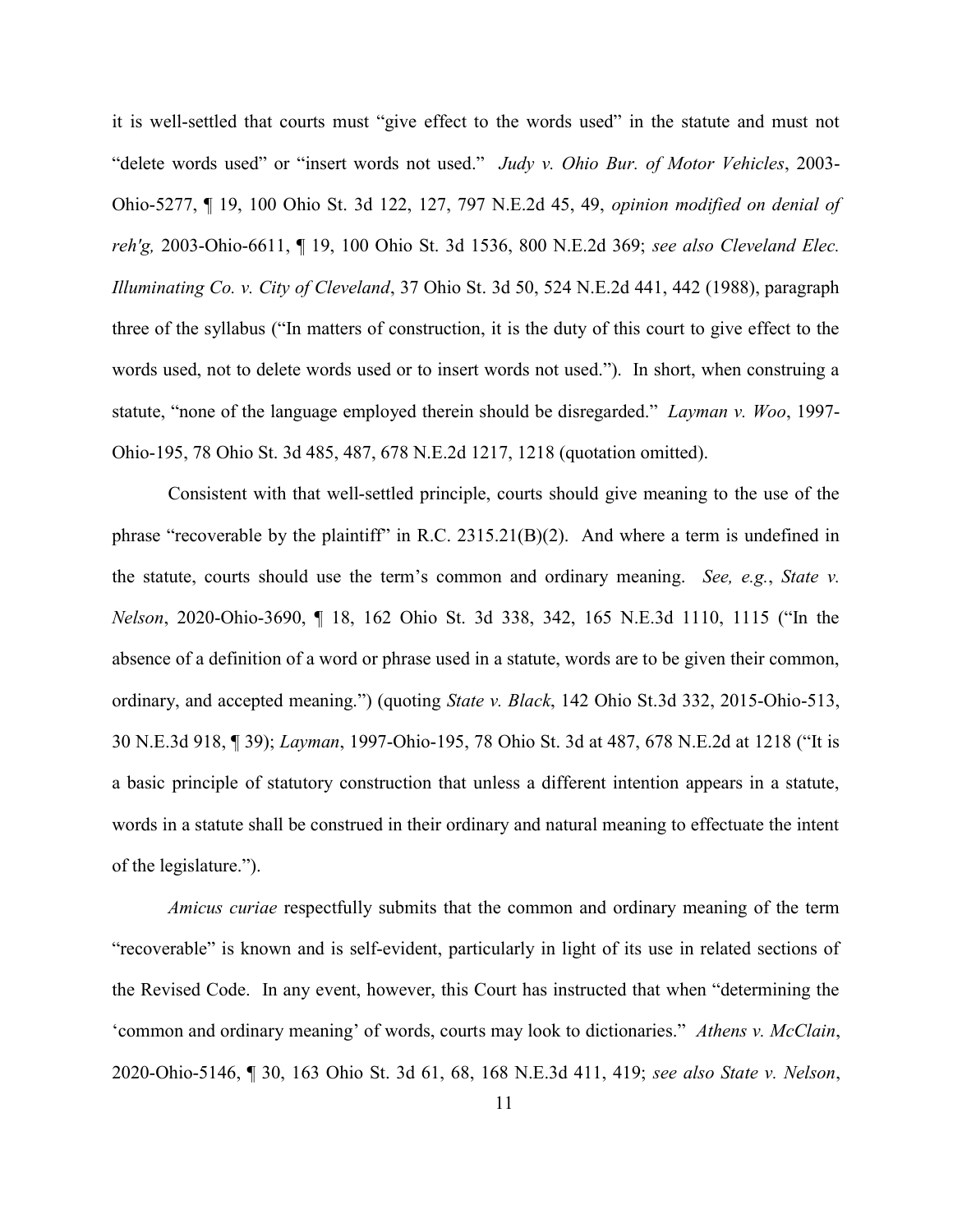it is well-settled that courts must "give effect to the words used" in the statute and must not "delete words used" or "insert words not used." Judy v. Ohio Bur. of Motor Vehicles, 2003-Ohio-5277, ¶ 19, 100 Ohio St. 3d 122, 127, 797 N.E.2d 45, 49, opinion modified on denial of reh'g, 2003-Ohio-6611, ¶ 19, 100 Ohio St. 3d 1536, 800 N.E.2d 369; see also Cleveland Elec. Illuminating Co. v. City of Cleveland, 37 Ohio St. 3d 50, 524 N.E.2d 441, 442 (1988), paragraph three of the syllabus ("In matters of construction, it is the duty of this court to give effect to the words used, not to delete words used or to insert words not used."). In short, when construing a statute, "none of the language employed therein should be disregarded." Layman v. Woo, 1997-Ohio-195, 78 Ohio St. 3d 485, 487, 678 N.E.2d 1217, 1218 (quotation omitted).

Consistent with that well-settled principle, courts should give meaning to the use of the phrase "recoverable by the plaintiff" in R.C.  $2315.21(B)(2)$ . And where a term is undefined in the statute, courts should use the term's common and ordinary meaning. See, e.g., State v. Nelson, 2020-Ohio-3690, ¶ 18, 162 Ohio St. 3d 338, 342, 165 N.E.3d 1110, 1115 ("In the absence of a definition of a word or phrase used in a statute, words are to be given their common, ordinary, and accepted meaning.") (quoting State v. Black, 142 Ohio St.3d 332, 2015-Ohio-513, 30 N.E.3d 918, ¶ 39); Layman, 1997-Ohio-195, 78 Ohio St. 3d at 487, 678 N.E.2d at 1218 ("It is a basic principle of statutory construction that unless a different intention appears in a statute, words in a statute shall be construed in their ordinary and natural meaning to effectuate the intent of the legislature.").

Amicus curiae respectfully submits that the common and ordinary meaning of the term "recoverable" is known and is self-evident, particularly in light of its use in related sections of the Revised Code. In any event, however, this Court has instructed that when "determining the 'common and ordinary meaning' of words, courts may look to dictionaries." Athens v. McClain, 2020-Ohio-5146, ¶ 30, 163 Ohio St. 3d 61, 68, 168 N.E.3d 411, 419; see also State v. Nelson,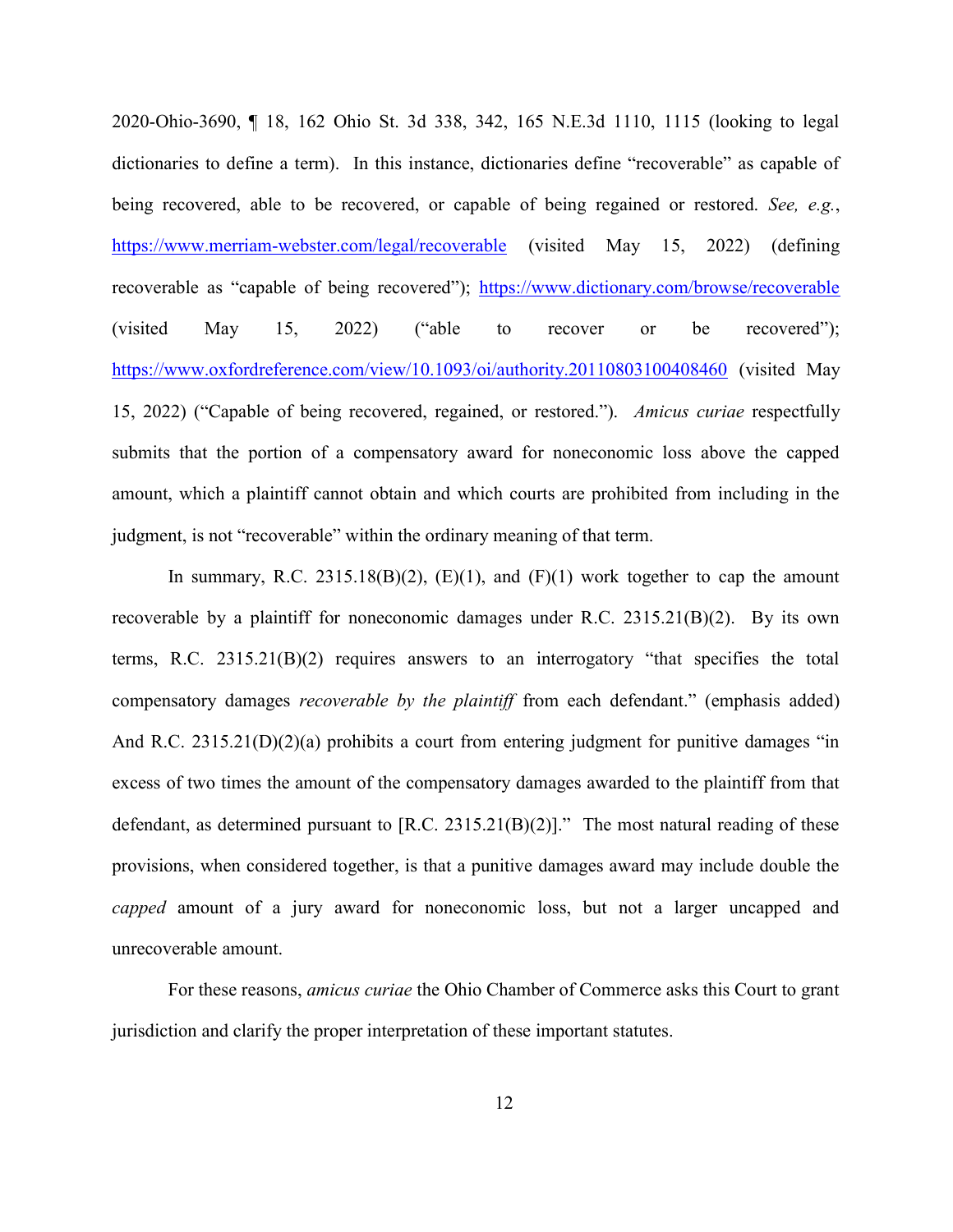2020-Ohio-3690, ¶ 18, 162 Ohio St. 3d 338, 342, 165 N.E.3d 1110, 1115 (looking to legal dictionaries to define a term). In this instance, dictionaries define "recoverable" as capable of being recovered, able to be recovered, or capable of being regained or restored. See, e.g., https://www.merriam-webster.com/legal/recoverable (visited May 15, 2022) (defining recoverable as "capable of being recovered"); https://www.dictionary.com/browse/recoverable (visited May 15, 2022) ("able to recover or be recovered"); https://www.oxfordreference.com/view/10.1093/oi/authority.20110803100408460 (visited May 15, 2022) ("Capable of being recovered, regained, or restored."). Amicus curiae respectfully submits that the portion of a compensatory award for noneconomic loss above the capped amount, which a plaintiff cannot obtain and which courts are prohibited from including in the judgment, is not "recoverable" within the ordinary meaning of that term.

In summary, R.C. 2315.18(B)(2),  $(E)(1)$ , and  $(F)(1)$  work together to cap the amount recoverable by a plaintiff for noneconomic damages under R.C. 2315.21(B)(2). By its own terms, R.C. 2315.21(B)(2) requires answers to an interrogatory "that specifies the total compensatory damages *recoverable by the plaintiff* from each defendant." (emphasis added) And R.C. 2315.21(D)(2)(a) prohibits a court from entering judgment for punitive damages "in excess of two times the amount of the compensatory damages awarded to the plaintiff from that defendant, as determined pursuant to [R.C. 2315.21(B)(2)]." The most natural reading of these provisions, when considered together, is that a punitive damages award may include double the capped amount of a jury award for noneconomic loss, but not a larger uncapped and unrecoverable amount.

For these reasons, *amicus curiae* the Ohio Chamber of Commerce asks this Court to grant jurisdiction and clarify the proper interpretation of these important statutes.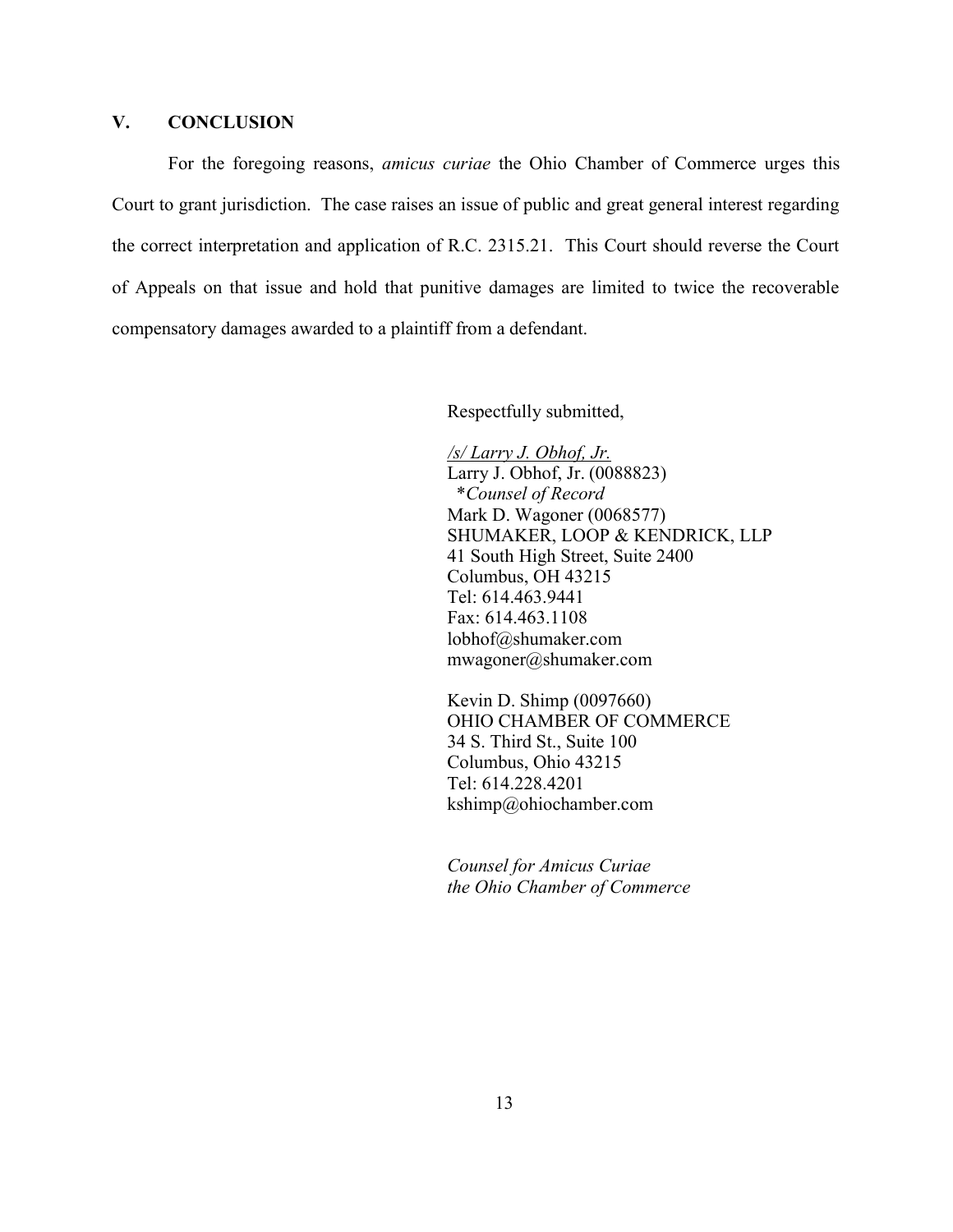## V. CONCLUSION

 For the foregoing reasons, amicus curiae the Ohio Chamber of Commerce urges this Court to grant jurisdiction. The case raises an issue of public and great general interest regarding the correct interpretation and application of R.C. 2315.21. This Court should reverse the Court of Appeals on that issue and hold that punitive damages are limited to twice the recoverable compensatory damages awarded to a plaintiff from a defendant.

Respectfully submitted,

 /s/ Larry J. Obhof, Jr. Larry J. Obhof, Jr. (0088823) \*Counsel of Record Mark D. Wagoner (0068577) SHUMAKER, LOOP & KENDRICK, LLP 41 South High Street, Suite 2400 Columbus, OH 43215 Tel: 614.463.9441 Fax: 614.463.1108 lobhof@shumaker.com mwagoner@shumaker.com

Kevin D. Shimp (0097660) OHIO CHAMBER OF COMMERCE 34 S. Third St., Suite 100 Columbus, Ohio 43215 Tel: 614.228.4201 kshimp@ohiochamber.com

Counsel for Amicus Curiae the Ohio Chamber of Commerce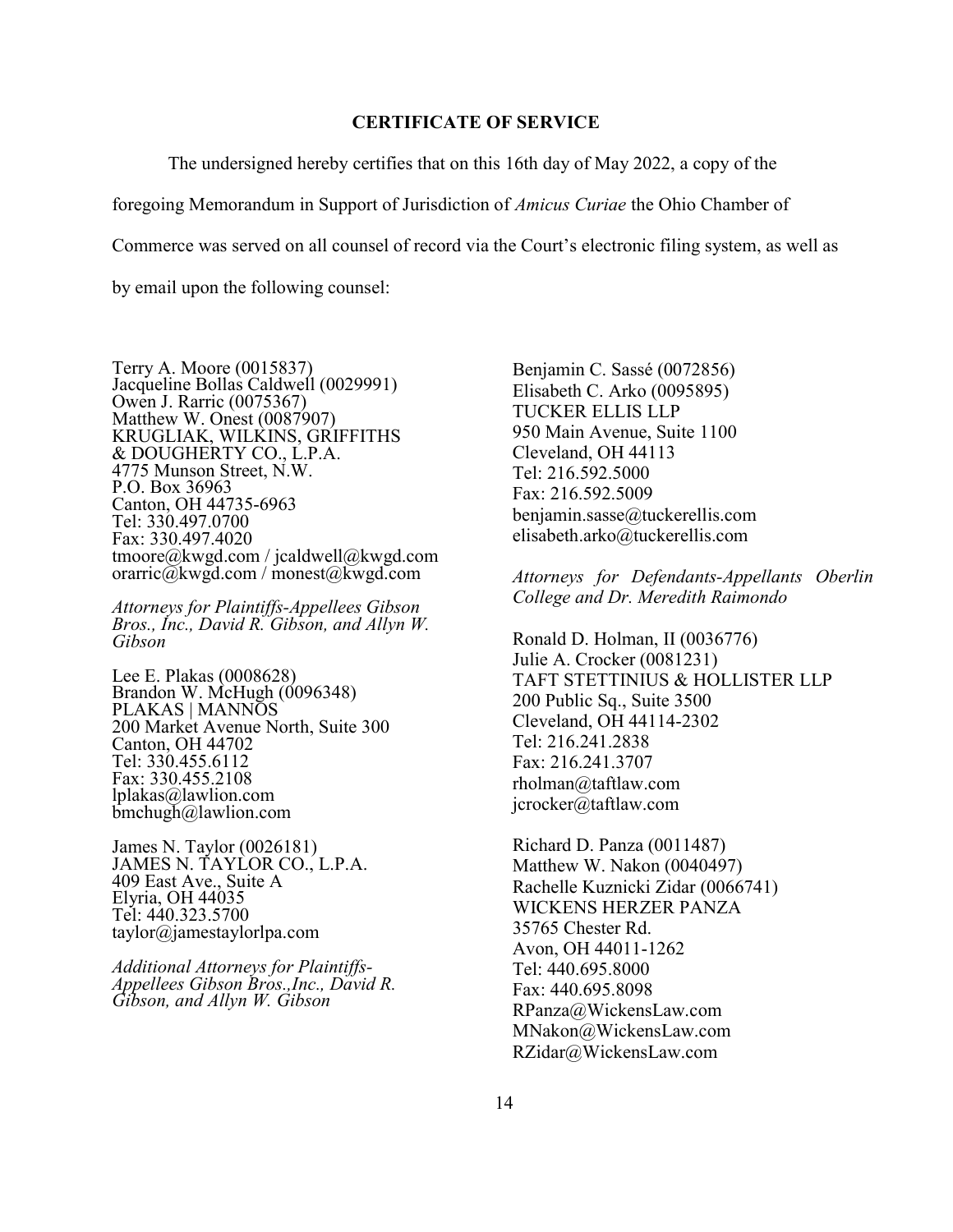#### CERTIFICATE OF SERVICE

The undersigned hereby certifies that on this 16th day of May 2022, a copy of the

foregoing Memorandum in Support of Jurisdiction of Amicus Curiae the Ohio Chamber of

Commerce was served on all counsel of record via the Court's electronic filing system, as well as

by email upon the following counsel:

Terry A. Moore (0015837) Jacqueline Bollas Caldwell (0029991) Owen J. Rarric (0075367) Matthew W. Onest (0087907) KRUGLIAK, WILKINS, GRIFFITHS & DOUGHERTY CO., L.P.A. 4775 Munson Street, N.W. P.O. Box 36963 Canton, OH 44735-6963 Tel: 330.497.0700 Fax: 330.497.4020 tmoore@kwgd.com / jcaldwell@kwgd.com orarric@kwgd.com / monest@kwgd.com

Attorneys for Plaintiffs-Appellees Gibson Bros., Inc., David R. Gibson, and Allyn W. Gibson

Lee E. Plakas (0008628) Brandon W. McHugh  $(0096348)$ PLAKAS | MANNOS 200 Market Avenue North, Suite 300 Canton, OH 44702 Tel: 330.455.6112 Fax: 330.455.2108 lplakas@lawlion.com bmchugh@lawlion.com

James N. Taylor (0026181) JAMES N. TAYLOR CO., L.P.A. 409 East Ave., Suite A Elyria, OH 44035 Tel: 440.323.5700 taylor@jamestaylorlpa.com

Additional Attorneys for Plaintiffs-Appellees Gibson Bros., Inc., David R. Gibson, and Allyn W. Gibson

Benjamin C. Sassé (0072856) Elisabeth C. Arko (0095895) TUCKER ELLIS LLP 950 Main Avenue, Suite 1100 Cleveland, OH 44113 Tel: 216.592.5000 Fax: 216.592.5009 benjamin.sasse@tuckerellis.com elisabeth.arko@tuckerellis.com

Attorneys for Defendants-Appellants Oberlin College and Dr. Meredith Raimondo

Ronald D. Holman, II (0036776) Julie A. Crocker (0081231) TAFT STETTINIUS & HOLLISTER LLP 200 Public Sq., Suite 3500 Cleveland, OH 44114-2302 Tel: 216.241.2838 Fax: 216.241.3707 rholman@taftlaw.com jcrocker@taftlaw.com

Richard D. Panza (0011487) Matthew W. Nakon (0040497) Rachelle Kuznicki Zidar (0066741) WICKENS HERZER PANZA 35765 Chester Rd. Avon, OH 44011-1262 Tel: 440.695.8000 Fax: 440.695.8098 RPanza@WickensLaw.com MNakon@WickensLaw.com RZidar@WickensLaw.com